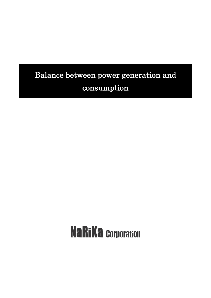# Balance between power generation and consumption

# **NaRiKa Corporation**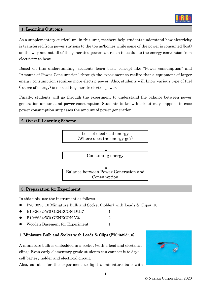

# 1. Learning Outcome

As a supplementary curriculum, in this unit, teachers help students understand how electricity is transferred from power stations to the towns/homes while some of the power is consumed (lost) on the way and not all of the generated power can reach to us due to the energy conversion from electricity to heat.

Based on this understanding, students learn basic concept like "Power consumption" and "Amount of Power Consumption" through the experiment to realize that a equipment of larger energy consumption requires more electric power. Also, students will know various type of fuel (source of energy) is needed to generate electric power.

Finally, students will go through the experiment to understand the balance between power generation amount and power consumption. Students to know blackout may happens in case power consumption surpasses the amount of power generation.

#### 2. Overall Learning Scheme



#### 3. Preparation for Experiment

In this unit, use the instrument as follows.

- ⚫ P70-0395-10 Miniature Bulb and Socket (holder) with Leads & Clips: 10
- B10-2632-W0 GENECON DUE: 1
- B10-2634-W0 GENECON V3: 2
- Wooden Basement for Experiment 1

# 1. Miniature Bulb and Socket with Leads & Clips (P70-0395-10)

A miniature bulb is embedded in a socket (with a lead and electrical clips). Even early elementary grade students can connect it to drycell battery holder and electrical circuit.

Also, suitable for the experiment to light a miniature bulb with

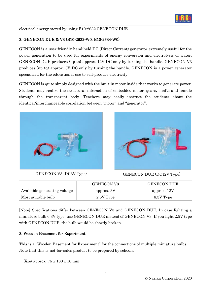

electrical energy stored by using B10-2632 GENECON DUE.

# 2. GENECON DUE & V3 (B10-2632-W0, B10-2634-W0)

GENECON is a user-friendly hand-held DC (Direct Current) generator extremely useful for the power generation to be used for experiments of energy conversion and electrolysis of water. GENECON DUE produces (up to) approx. 12V DC only by turning the handle. GENECON V3 produces (up to) approx. 3V DC only by turning the handle. GENECON is a power generator specialized for the educational use to self-produce electricity.

GENECON is quite simply designed with the built-in motor inside that works to generate power. Students may realize the structural interaction of embedded motor, gears, shafts and handle through the transparent body. Teachers may easily instruct the students about the identical/interchangeable correlation between "motor" and "generator".





GENECON V3 (DC3V Type) GENECON DUE (DC12V Type)

|                              | <b>GENECON V3</b> | <b>GENECON DUE</b> |
|------------------------------|-------------------|--------------------|
| Available generating voltage | approx. 3V        | approx. 12V        |
| Most suitable bulb           | 2.5V Type         | 6.3V Type          |

[Note] Specifications differ between GENECON V3 and GENECON DUE. In case lighting a miniature bulb 6.3V type, use GENECON DUE instead of GENECON V3. If you light 2.5V type with GENECON DUE, the bulb would be shortly broken.

# 3. Wooden Basement for Experiment

This is a "Wooden Basement for Experiment" for the connections of multiple miniature bulbs. Note that this is not-for-sales product to be prepared by schools.

- Size: approx. 75 x 180 x 10 mm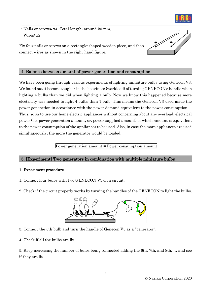

- Nails or screws: x4, Total length: around 20 mm,

- Wires: x2

Fix four nails or screws on a rectangle-shaped wooden piece, and then connect wires as shown in the right-hand figure.



# 4. Balance between amount of power generation and consumption

We have been going through various experiments of lighting miniature bulbs using Genecon V3. We found out it become tougher in the heaviness (workload) of turning GENECON's handle when lighting 4 bulbs than we did when lighting 1 bulb. Now we know this happened because more electricity was needed to light 4 bulbs than 1 bulb. This means the Genecon V3 used made the power generation in accordance with the power demand equivalent to the power consumption. Thus, so as to use our home electric appliances without concerning about any overload, electrical power (i.e. power generation amount, or, power supplied amount) of which amount is equivalent to the power consumption of the appliances to be used. Also, in case the more appliances are used simultaneously, the more the generator would be loaded.

Power generation amount = Power consumption amount

# 5. [Experiment] Two generators in combination with multiple miniature bulbs

# 1. Experiment procedure

- 1. Connect four bulbs with two GENECON V3 on a circuit.
- 2. Check if the circuit properly works by turning the handles of the GENECON to light the bulbs.



- 3. Connect the 5th bulb and turn the handle of Genecon V3 as a "generator".
- 4. Check if all the bulbs are lit.

5. Keep increasing the number of bulbs being connected adding the 6th, 7th, and 8th, … and see if they are lit.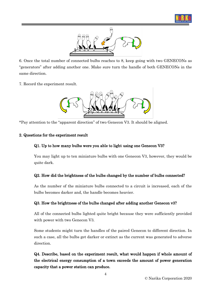



6. Once the total number of connected bulbs reaches to 8, keep going with two GENECONs as "generators" after adding another one. Make sure turn the handle of both GENECONs in the same direction.

7. Record the experiment result.



\*Pay attention to the "apparent direction" of two Genecon V3. It should be aligned.

#### 2. Questions for the experiment result

# Q1. Up to how many bulbs were you able to light using one Genecon V3?

You may light up to ten miniature bulbs with one Genecon V3, however, they would be quite dark.

# Q2. How did the brightness of the bulbs changed by the number of bulbs connected?

As the number of the miniature bulbs connected to a circuit is increased, each of the bulbs becomes darker and, the handle becomes heavier.

# Q3. How the brightness of the bulbs changed after adding another Genecon v3?

All of the connected bulbs lighted quite bright because they were sufficiently provided with power with two Genecon V3.

Some students might turn the handles of the paired Genecon to different direction. In such a case, all the bulbs get darker or extinct as the current was generated to adverse direction.

Q4. Describe, based on the experiment result, what would happen if whole amount of the electrical energy consumption of a town exceeds the amount of power generation capacity that a power station can produce.